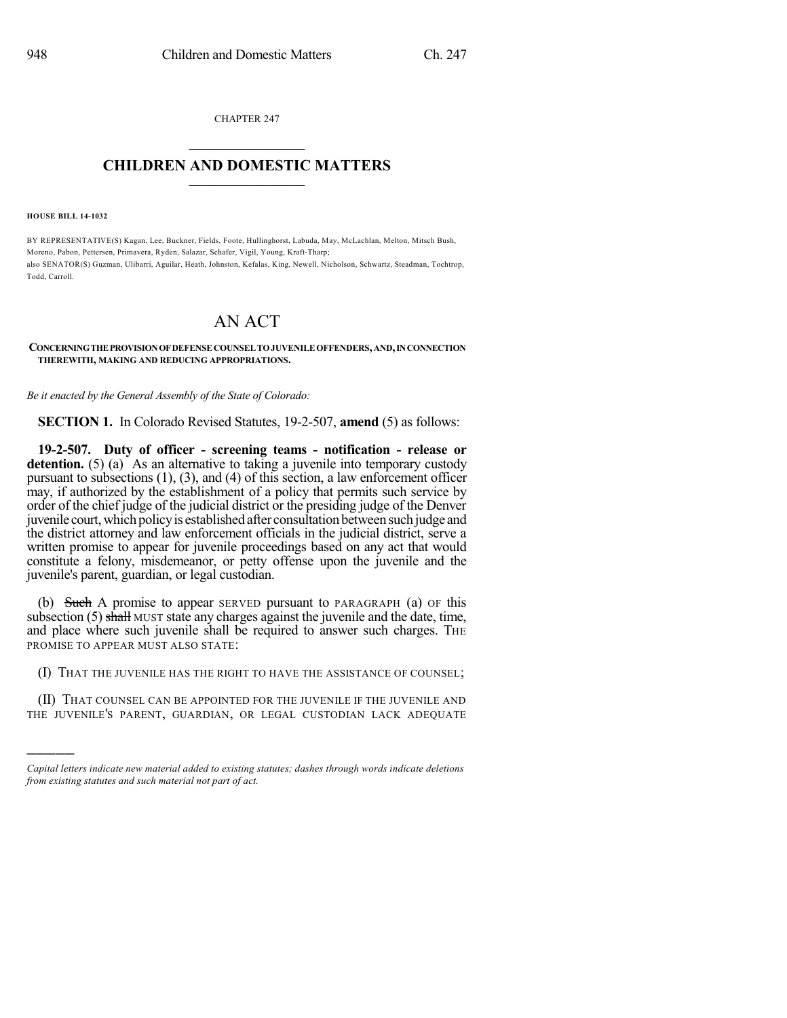CHAPTER 247  $\overline{\phantom{a}}$  . The set of the set of the set of the set of the set of the set of the set of the set of the set of the set of the set of the set of the set of the set of the set of the set of the set of the set of the set o

### **CHILDREN AND DOMESTIC MATTERS**  $\_$

**HOUSE BILL 14-1032**

)))))

BY REPRESENTATIVE(S) Kagan, Lee, Buckner, Fields, Foote, Hullinghorst, Labuda, May, McLachlan, Melton, Mitsch Bush, Moreno, Pabon, Pettersen, Primavera, Ryden, Salazar, Schafer, Vigil, Young, Kraft-Tharp; also SENATOR(S) Guzman, Ulibarri, Aguilar, Heath, Johnston, Kefalas, King, Newell, Nicholson, Schwartz, Steadman, Tochtrop, Todd, Carroll.

# AN ACT

#### **CONCERNINGTHEPROVISIONOFDEFENSECOUNSELTOJUVENILEOFFENDERS,AND,INCONNECTION THEREWITH, MAKING AND REDUCING APPROPRIATIONS.**

*Be it enacted by the General Assembly of the State of Colorado:*

**SECTION 1.** In Colorado Revised Statutes, 19-2-507, **amend** (5) as follows:

**19-2-507. Duty of officer - screening teams - notification - release or detention.** (5) (a) As an alternative to taking a juvenile into temporary custody pursuant to subsections (1), (3), and (4) of this section, a law enforcement officer may, if authorized by the establishment of a policy that permits such service by order of the chief judge of the judicial district or the presiding judge of the Denver juvenile court, which policy is established after consultation between such judge and the district attorney and law enforcement officials in the judicial district, serve a written promise to appear for juvenile proceedings based on any act that would constitute a felony, misdemeanor, or petty offense upon the juvenile and the juvenile's parent, guardian, or legal custodian.

(b) Such A promise to appear SERVED pursuant to PARAGRAPH (a) OF this subsection  $(5)$  shall MUST state any charges against the juvenile and the date, time, and place where such juvenile shall be required to answer such charges. THE PROMISE TO APPEAR MUST ALSO STATE:

(I) THAT THE JUVENILE HAS THE RIGHT TO HAVE THE ASSISTANCE OF COUNSEL;

(II) THAT COUNSEL CAN BE APPOINTED FOR THE JUVENILE IF THE JUVENILE AND THE JUVENILE'S PARENT, GUARDIAN, OR LEGAL CUSTODIAN LACK ADEQUATE

*Capital letters indicate new material added to existing statutes; dashes through words indicate deletions from existing statutes and such material not part of act.*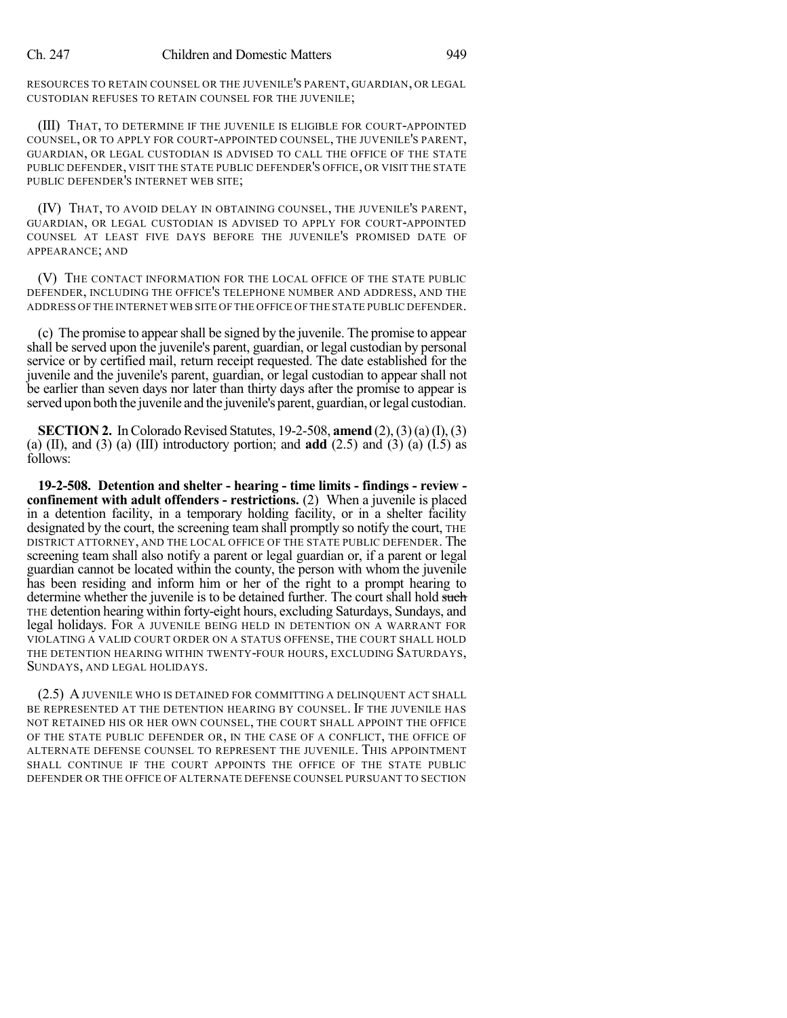#### Ch. 247 Children and Domestic Matters 949

RESOURCES TO RETAIN COUNSEL OR THE JUVENILE'S PARENT, GUARDIAN, OR LEGAL CUSTODIAN REFUSES TO RETAIN COUNSEL FOR THE JUVENILE;

(III) THAT, TO DETERMINE IF THE JUVENILE IS ELIGIBLE FOR COURT-APPOINTED COUNSEL, OR TO APPLY FOR COURT-APPOINTED COUNSEL, THE JUVENILE'S PARENT, GUARDIAN, OR LEGAL CUSTODIAN IS ADVISED TO CALL THE OFFICE OF THE STATE PUBLIC DEFENDER, VISIT THE STATE PUBLIC DEFENDER'S OFFICE, OR VISIT THE STATE PUBLIC DEFENDER'S INTERNET WEB SITE;

(IV) THAT, TO AVOID DELAY IN OBTAINING COUNSEL, THE JUVENILE'S PARENT, GUARDIAN, OR LEGAL CUSTODIAN IS ADVISED TO APPLY FOR COURT-APPOINTED COUNSEL AT LEAST FIVE DAYS BEFORE THE JUVENILE'S PROMISED DATE OF APPEARANCE; AND

(V) THE CONTACT INFORMATION FOR THE LOCAL OFFICE OF THE STATE PUBLIC DEFENDER, INCLUDING THE OFFICE'S TELEPHONE NUMBER AND ADDRESS, AND THE ADDRESS OF THE INTERNET WEB SITE OF THE OFFICE OF THE STATE PUBLIC DEFENDER.

(c) The promise to appearshall be signed by the juvenile. The promise to appear shall be served upon the juvenile's parent, guardian, or legal custodian by personal service or by certified mail, return receipt requested. The date established for the juvenile and the juvenile's parent, guardian, or legal custodian to appear shall not be earlier than seven days nor later than thirty days after the promise to appear is served upon both the juvenile and the juvenile's parent, guardian, or legal custodian.

**SECTION 2.** In Colorado Revised Statutes, 19-2-508, **amend** (2), (3)(a)(I), (3) (a) (II), and (3) (a) (III) introductory portion; and **add** (2.5) and (3) (a) (I.5) as follows:

**19-2-508. Detention and shelter - hearing - time limits - findings - review confinement with adult offenders - restrictions.** (2) When a juvenile is placed in a detention facility, in a temporary holding facility, or in a shelter facility designated by the court, the screening team shall promptly so notify the court, THE DISTRICT ATTORNEY, AND THE LOCAL OFFICE OF THE STATE PUBLIC DEFENDER. The screening team shall also notify a parent or legal guardian or, if a parent or legal guardian cannot be located within the county, the person with whom the juvenile has been residing and inform him or her of the right to a prompt hearing to determine whether the juvenile is to be detained further. The court shall hold such THE detention hearing within forty-eight hours, excluding Saturdays, Sundays, and legal holidays. FOR A JUVENILE BEING HELD IN DETENTION ON A WARRANT FOR VIOLATING A VALID COURT ORDER ON A STATUS OFFENSE, THE COURT SHALL HOLD THE DETENTION HEARING WITHIN TWENTY-FOUR HOURS, EXCLUDING SATURDAYS, SUNDAYS, AND LEGAL HOLIDAYS.

(2.5) AJUVENILE WHO IS DETAINED FOR COMMITTING A DELINQUENT ACT SHALL BE REPRESENTED AT THE DETENTION HEARING BY COUNSEL. IF THE JUVENILE HAS NOT RETAINED HIS OR HER OWN COUNSEL, THE COURT SHALL APPOINT THE OFFICE OF THE STATE PUBLIC DEFENDER OR, IN THE CASE OF A CONFLICT, THE OFFICE OF ALTERNATE DEFENSE COUNSEL TO REPRESENT THE JUVENILE. THIS APPOINTMENT SHALL CONTINUE IF THE COURT APPOINTS THE OFFICE OF THE STATE PUBLIC DEFENDER OR THE OFFICE OF ALTERNATE DEFENSE COUNSEL PURSUANT TO SECTION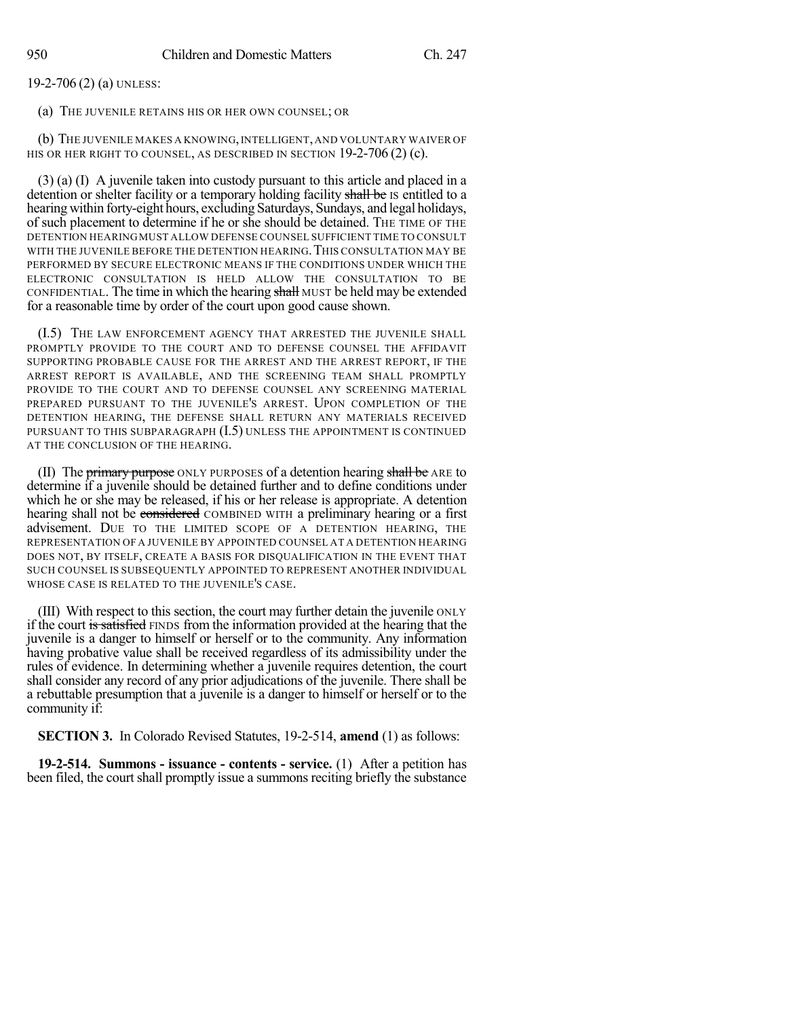19-2-706 (2) (a) UNLESS:

(a) THE JUVENILE RETAINS HIS OR HER OWN COUNSEL; OR

(b) THE JUVENILE MAKES A KNOWING,INTELLIGENT,AND VOLUNTARY WAIVER OF HIS OR HER RIGHT TO COUNSEL, AS DESCRIBED IN SECTION 19-2-706 (2) (c).

(3) (a) (I) A juvenile taken into custody pursuant to this article and placed in a detention or shelter facility or a temporary holding facility shall be IS entitled to a hearing within forty-eight hours, excluding Saturdays, Sundays, and legal holidays, of such placement to determine if he or she should be detained. THE TIME OF THE DETENTION HEARINGMUST ALLOW DEFENSE COUNSEL SUFFICIENT TIME TO CONSULT WITH THE JUVENILE BEFORE THE DETENTION HEARING. THIS CONSULTATION MAY BE PERFORMED BY SECURE ELECTRONIC MEANS IF THE CONDITIONS UNDER WHICH THE ELECTRONIC CONSULTATION IS HELD ALLOW THE CONSULTATION TO BE CONFIDENTIAL. The time in which the hearing shall MUST be held may be extended for a reasonable time by order of the court upon good cause shown.

(I.5) THE LAW ENFORCEMENT AGENCY THAT ARRESTED THE JUVENILE SHALL PROMPTLY PROVIDE TO THE COURT AND TO DEFENSE COUNSEL THE AFFIDAVIT SUPPORTING PROBABLE CAUSE FOR THE ARREST AND THE ARREST REPORT, IF THE ARREST REPORT IS AVAILABLE, AND THE SCREENING TEAM SHALL PROMPTLY PROVIDE TO THE COURT AND TO DEFENSE COUNSEL ANY SCREENING MATERIAL PREPARED PURSUANT TO THE JUVENILE'S ARREST. UPON COMPLETION OF THE DETENTION HEARING, THE DEFENSE SHALL RETURN ANY MATERIALS RECEIVED PURSUANT TO THIS SUBPARAGRAPH (I.5) UNLESS THE APPOINTMENT IS CONTINUED AT THE CONCLUSION OF THE HEARING.

(II) The primary purpose ONLY PURPOSES of a detention hearing shall be ARE to determine if a juvenile should be detained further and to define conditions under which he or she may be released, if his or her release is appropriate. A detention hearing shall not be considered COMBINED WITH a preliminary hearing or a first advisement. DUE TO THE LIMITED SCOPE OF A DETENTION HEARING, THE REPRESENTATION OF A JUVENILE BY APPOINTED COUNSEL AT A DETENTION HEARING DOES NOT, BY ITSELF, CREATE A BASIS FOR DISQUALIFICATION IN THE EVENT THAT SUCH COUNSEL IS SUBSEQUENTLY APPOINTED TO REPRESENT ANOTHER INDIVIDUAL WHOSE CASE IS RELATED TO THE JUVENILE'S CASE.

(III) With respect to this section, the court may further detain the juvenile ONLY if the court is satisfied FINDS from the information provided at the hearing that the juvenile is a danger to himself or herself or to the community. Any information having probative value shall be received regardless of its admissibility under the rules of evidence. In determining whether a juvenile requires detention, the court shall consider any record of any prior adjudications of the juvenile. There shall be a rebuttable presumption that a juvenile is a danger to himself or herself or to the community if:

**SECTION 3.** In Colorado Revised Statutes, 19-2-514, **amend** (1) as follows:

**19-2-514. Summons - issuance - contents - service.** (1) After a petition has been filed, the court shall promptly issue a summons reciting briefly the substance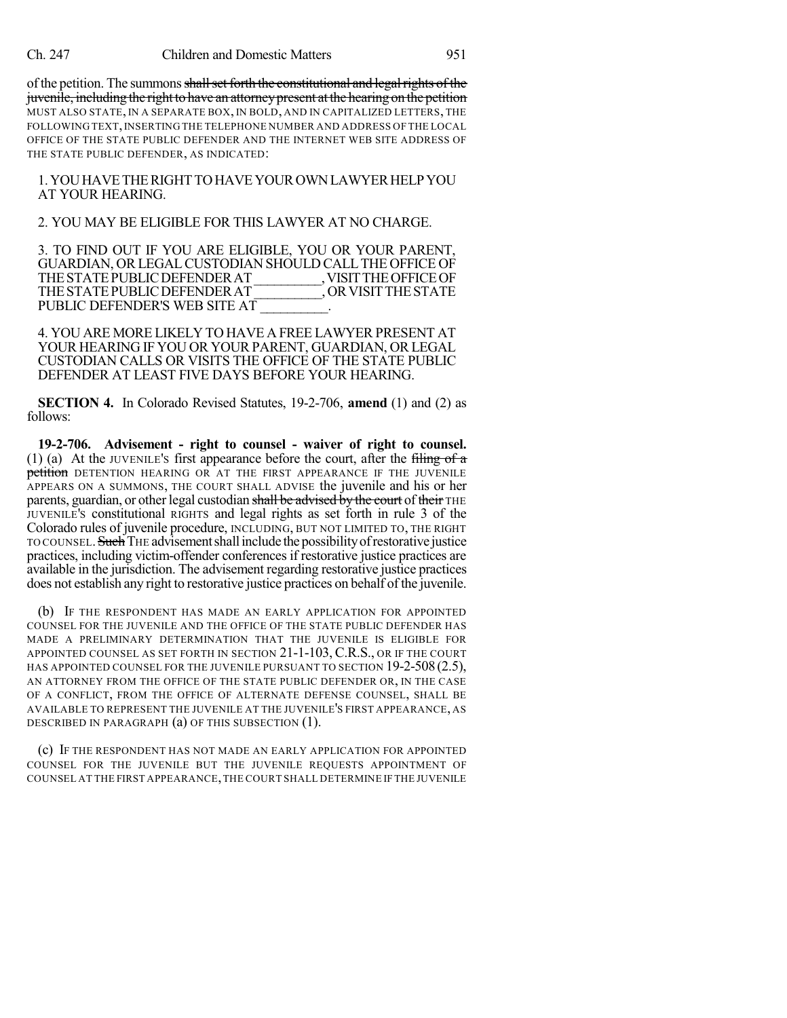of the petition. The summons shall set forth the constitutional and legal rights of the juvenile, including the right to have an attorney present at the hearing on the petition MUST ALSO STATE, IN A SEPARATE BOX, IN BOLD, AND IN CAPITALIZED LETTERS, THE FOLLOWING TEXT,INSERTING THE TELEPHONE NUMBER AND ADDRESS OF THE LOCAL OFFICE OF THE STATE PUBLIC DEFENDER AND THE INTERNET WEB SITE ADDRESS OF THE STATE PUBLIC DEFENDER, AS INDICATED:

1.YOUHAVETHERIGHTTOHAVEYOUROWNLAWYERHELPYOU AT YOUR HEARING.

## 2. YOU MAY BE ELIGIBLE FOR THIS LAWYER AT NO CHARGE.

3. TO FIND OUT IF YOU ARE ELIGIBLE, YOU OR YOUR PARENT, GUARDIAN, ORLEGALCUSTODIAN SHOULD CALLTHE OFFICE OF THE STATE PUBLIC DEFENDER AT \_\_\_\_\_\_\_\_\_\_, VISIT THE OFFICE OF THE STATE PUBLIC DEFENDER AT \_\_\_\_\_\_\_\_\_, OR VISIT THE STATE THE STATE PUBLIC DEFENDER AT PUBLIC DEFENDER'S WEB SITE AT

4. YOU ARE MORE LIKELY TO HAVE A FREE LAWYER PRESENT AT YOUR HEARING IF YOU OR YOUR PARENT, GUARDIAN, OR LEGAL CUSTODIAN CALLS OR VISITS THE OFFICE OF THE STATE PUBLIC DEFENDER AT LEAST FIVE DAYS BEFORE YOUR HEARING.

**SECTION 4.** In Colorado Revised Statutes, 19-2-706, **amend** (1) and (2) as follows:

**19-2-706. Advisement - right to counsel - waiver of right to counsel.** (1) (a) At the JUVENILE's first appearance before the court, after the filing of  $\alpha$ petition DETENTION HEARING OR AT THE FIRST APPEARANCE IF THE JUVENILE APPEARS ON A SUMMONS, THE COURT SHALL ADVISE the juvenile and his or her parents, guardian, or other legal custodian shall be advised by the court of their THE JUVENILE'S constitutional RIGHTS and legal rights as set forth in rule 3 of the Colorado rules of juvenile procedure, INCLUDING, BUT NOT LIMITED TO, THE RIGHT TO COUNSEL. Such THE advisement shall include the possibility of restorative justice practices, including victim-offender conferences if restorative justice practices are available in the jurisdiction. The advisement regarding restorative justice practices does not establish any right to restorative justice practices on behalf of the juvenile.

(b) IF THE RESPONDENT HAS MADE AN EARLY APPLICATION FOR APPOINTED COUNSEL FOR THE JUVENILE AND THE OFFICE OF THE STATE PUBLIC DEFENDER HAS MADE A PRELIMINARY DETERMINATION THAT THE JUVENILE IS ELIGIBLE FOR APPOINTED COUNSEL AS SET FORTH IN SECTION 21-1-103, C.R.S., OR IF THE COURT HAS APPOINTED COUNSEL FOR THE JUVENILE PURSUANT TO SECTION 19-2-508 (2.5), AN ATTORNEY FROM THE OFFICE OF THE STATE PUBLIC DEFENDER OR, IN THE CASE OF A CONFLICT, FROM THE OFFICE OF ALTERNATE DEFENSE COUNSEL, SHALL BE AVAILABLE TO REPRESENT THE JUVENILE AT THE JUVENILE'S FIRST APPEARANCE, AS DESCRIBED IN PARAGRAPH (a) OF THIS SUBSECTION (1).

(c) IF THE RESPONDENT HAS NOT MADE AN EARLY APPLICATION FOR APPOINTED COUNSEL FOR THE JUVENILE BUT THE JUVENILE REQUESTS APPOINTMENT OF COUNSEL AT THE FIRST APPEARANCE,THE COURT SHALL DETERMINE IF THE JUVENILE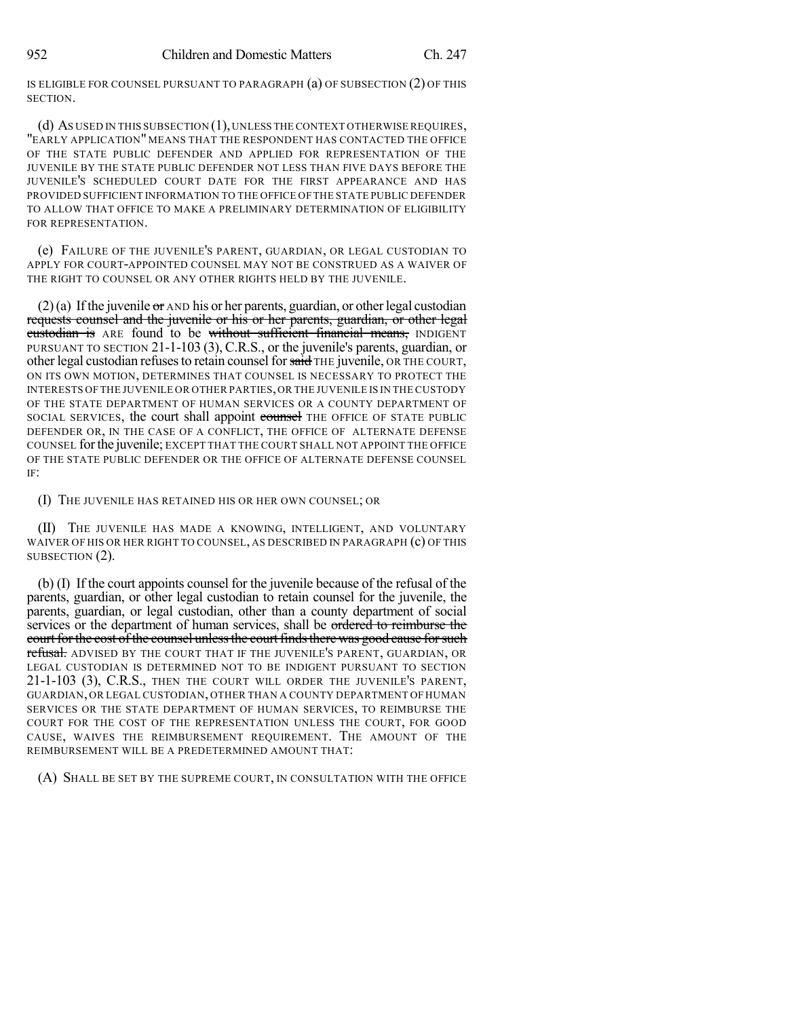IS ELIGIBLE FOR COUNSEL PURSUANT TO PARAGRAPH (a) OF SUBSECTION (2) OF THIS SECTION.

(d) AS USED IN THIS SUBSECTION (1),UNLESS THE CONTEXT OTHERWISE REQUIRES, "EARLY APPLICATION" MEANS THAT THE RESPONDENT HAS CONTACTED THE OFFICE OF THE STATE PUBLIC DEFENDER AND APPLIED FOR REPRESENTATION OF THE JUVENILE BY THE STATE PUBLIC DEFENDER NOT LESS THAN FIVE DAYS BEFORE THE JUVENILE'S SCHEDULED COURT DATE FOR THE FIRST APPEARANCE AND HAS PROVIDED SUFFICIENT INFORMATION TO THE OFFICE OF THE STATE PUBLIC DEFENDER TO ALLOW THAT OFFICE TO MAKE A PRELIMINARY DETERMINATION OF ELIGIBILITY FOR REPRESENTATION.

(e) FAILURE OF THE JUVENILE'S PARENT, GUARDIAN, OR LEGAL CUSTODIAN TO APPLY FOR COURT-APPOINTED COUNSEL MAY NOT BE CONSTRUED AS A WAIVER OF THE RIGHT TO COUNSEL OR ANY OTHER RIGHTS HELD BY THE JUVENILE.

(2)(a) If the juvenile  $\sigma$  and his or her parents, guardian, or other legal custodian requests counsel and the juvenile or his or her parents, guardian, or other legal custodian is ARE found to be without sufficient financial means, INDIGENT PURSUANT TO SECTION 21-1-103 (3), C.R.S., or the juvenile's parents, guardian, or other legal custodian refuses to retain counsel for said THE juvenile, OR THE COURT, ON ITS OWN MOTION, DETERMINES THAT COUNSEL IS NECESSARY TO PROTECT THE INTERESTS OF THE JUVENILE OR OTHER PARTIES,OR THE JUVENILE IS IN THE CUSTODY OF THE STATE DEPARTMENT OF HUMAN SERVICES OR A COUNTY DEPARTMENT OF SOCIAL SERVICES, the court shall appoint counsel THE OFFICE OF STATE PUBLIC DEFENDER OR, IN THE CASE OF A CONFLICT, THE OFFICE OF ALTERNATE DEFENSE COUNSEL forthe juvenile; EXCEPT THAT THE COURT SHALL NOT APPOINT THE OFFICE OF THE STATE PUBLIC DEFENDER OR THE OFFICE OF ALTERNATE DEFENSE COUNSEL IF:

(I) THE JUVENILE HAS RETAINED HIS OR HER OWN COUNSEL; OR

(II) THE JUVENILE HAS MADE A KNOWING, INTELLIGENT, AND VOLUNTARY WAIVER OF HIS OR HER RIGHT TO COUNSEL, AS DESCRIBED IN PARAGRAPH (c) OF THIS SUBSECTION (2).

(b) (I) If the court appoints counsel for the juvenile because of the refusal of the parents, guardian, or other legal custodian to retain counsel for the juvenile, the parents, guardian, or legal custodian, other than a county department of social services or the department of human services, shall be ordered to reimburse the court for the cost of the counsel unless the court finds there was good cause for such refusal. ADVISED BY THE COURT THAT IF THE JUVENILE'S PARENT, GUARDIAN, OR LEGAL CUSTODIAN IS DETERMINED NOT TO BE INDIGENT PURSUANT TO SECTION 21-1-103 (3), C.R.S., THEN THE COURT WILL ORDER THE JUVENILE'S PARENT, GUARDIAN, OR LEGAL CUSTODIAN, OTHER THAN A COUNTY DEPARTMENT OF HUMAN SERVICES OR THE STATE DEPARTMENT OF HUMAN SERVICES, TO REIMBURSE THE COURT FOR THE COST OF THE REPRESENTATION UNLESS THE COURT, FOR GOOD CAUSE, WAIVES THE REIMBURSEMENT REQUIREMENT. THE AMOUNT OF THE REIMBURSEMENT WILL BE A PREDETERMINED AMOUNT THAT:

(A) SHALL BE SET BY THE SUPREME COURT, IN CONSULTATION WITH THE OFFICE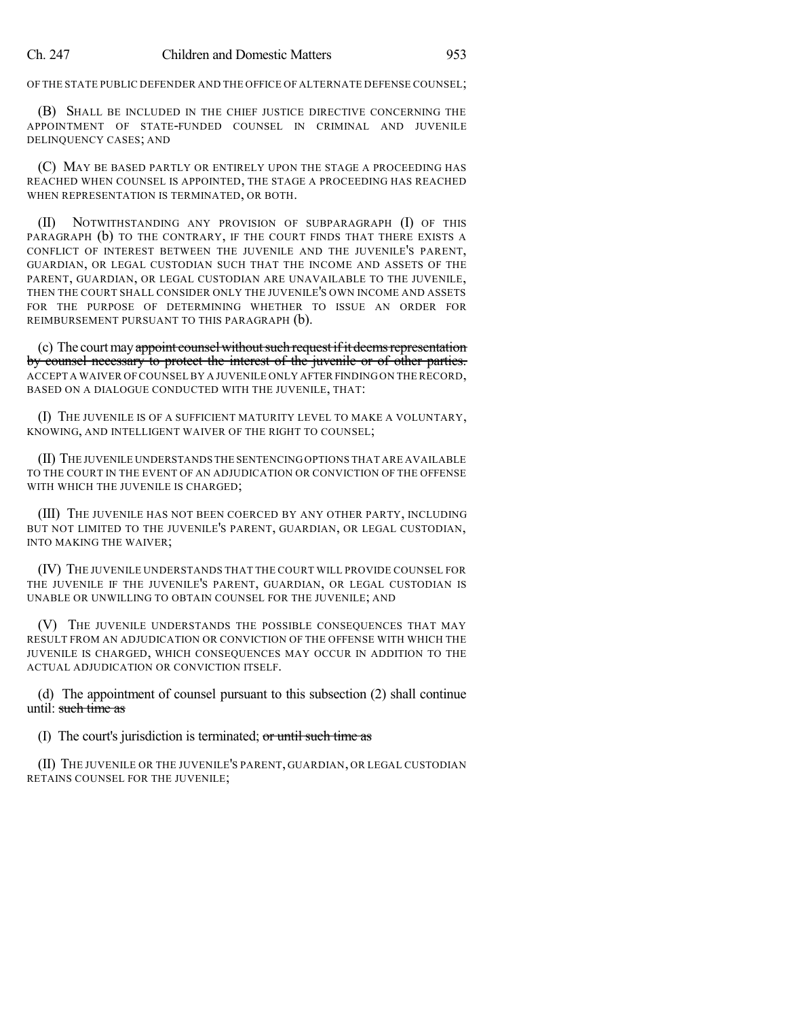OF THE STATE PUBLIC DEFENDER AND THE OFFICE OF ALTERNATE DEFENSE COUNSEL;

(B) SHALL BE INCLUDED IN THE CHIEF JUSTICE DIRECTIVE CONCERNING THE APPOINTMENT OF STATE-FUNDED COUNSEL IN CRIMINAL AND JUVENILE DELINQUENCY CASES; AND

(C) MAY BE BASED PARTLY OR ENTIRELY UPON THE STAGE A PROCEEDING HAS REACHED WHEN COUNSEL IS APPOINTED, THE STAGE A PROCEEDING HAS REACHED WHEN REPRESENTATION IS TERMINATED, OR BOTH.

(II) NOTWITHSTANDING ANY PROVISION OF SUBPARAGRAPH (I) OF THIS PARAGRAPH (b) TO THE CONTRARY, IF THE COURT FINDS THAT THERE EXISTS A CONFLICT OF INTEREST BETWEEN THE JUVENILE AND THE JUVENILE'S PARENT, GUARDIAN, OR LEGAL CUSTODIAN SUCH THAT THE INCOME AND ASSETS OF THE PARENT, GUARDIAN, OR LEGAL CUSTODIAN ARE UNAVAILABLE TO THE JUVENILE, THEN THE COURT SHALL CONSIDER ONLY THE JUVENILE'S OWN INCOME AND ASSETS FOR THE PURPOSE OF DETERMINING WHETHER TO ISSUE AN ORDER FOR REIMBURSEMENT PURSUANT TO THIS PARAGRAPH (b).

(c) The court may appoint counsel without such request if it deems representation by counsel necessary to protect the interest of the juvenile or of other parties. ACCEPT A WAIVER OF COUNSEL BY A JUVENILE ONLY AFTER FINDINGON THE RECORD, BASED ON A DIALOGUE CONDUCTED WITH THE JUVENILE, THAT:

(I) THE JUVENILE IS OF A SUFFICIENT MATURITY LEVEL TO MAKE A VOLUNTARY, KNOWING, AND INTELLIGENT WAIVER OF THE RIGHT TO COUNSEL;

(II) THE JUVENILE UNDERSTANDS THE SENTENCING OPTIONS THAT ARE AVAILABLE TO THE COURT IN THE EVENT OF AN ADJUDICATION OR CONVICTION OF THE OFFENSE WITH WHICH THE JUVENILE IS CHARGED;

(III) THE JUVENILE HAS NOT BEEN COERCED BY ANY OTHER PARTY, INCLUDING BUT NOT LIMITED TO THE JUVENILE'S PARENT, GUARDIAN, OR LEGAL CUSTODIAN, INTO MAKING THE WAIVER;

(IV) THE JUVENILE UNDERSTANDS THAT THE COURT WILL PROVIDE COUNSEL FOR THE JUVENILE IF THE JUVENILE'S PARENT, GUARDIAN, OR LEGAL CUSTODIAN IS UNABLE OR UNWILLING TO OBTAIN COUNSEL FOR THE JUVENILE; AND

(V) THE JUVENILE UNDERSTANDS THE POSSIBLE CONSEQUENCES THAT MAY RESULT FROM AN ADJUDICATION OR CONVICTION OF THE OFFENSE WITH WHICH THE JUVENILE IS CHARGED, WHICH CONSEQUENCES MAY OCCUR IN ADDITION TO THE ACTUAL ADJUDICATION OR CONVICTION ITSELF.

(d) The appointment of counsel pursuant to this subsection (2) shall continue until: such time as

(I) The court's jurisdiction is terminated; or until such time as

(II) THE JUVENILE OR THE JUVENILE'S PARENT, GUARDIAN, OR LEGAL CUSTODIAN RETAINS COUNSEL FOR THE JUVENILE;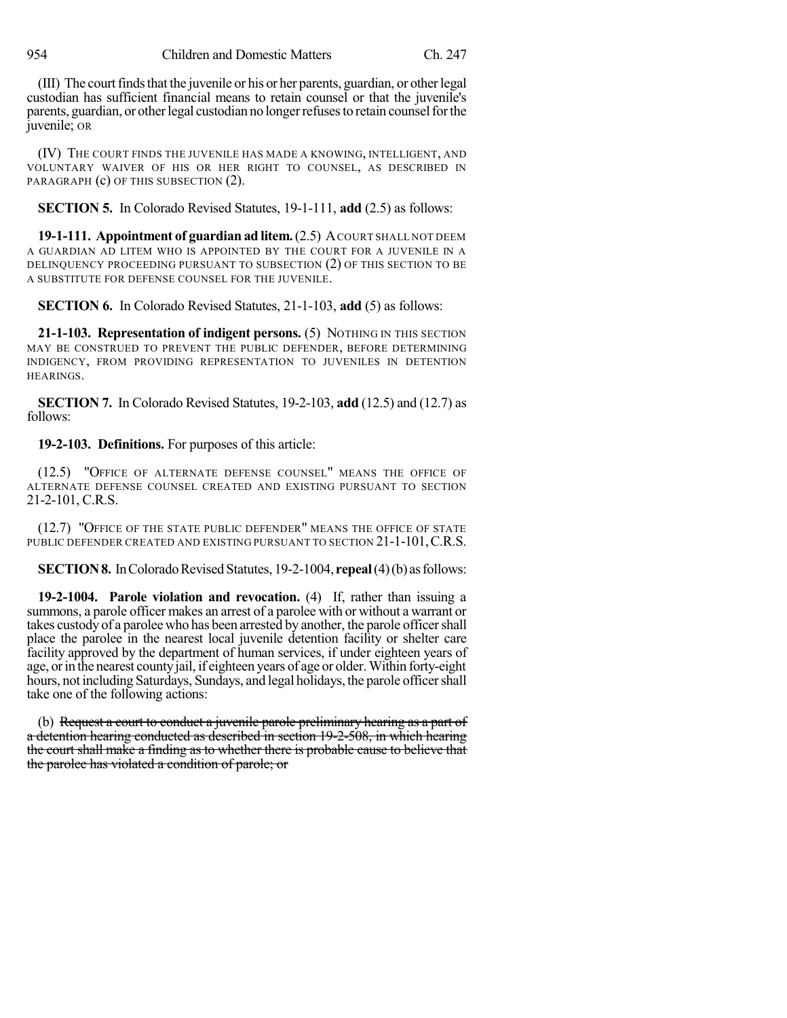(III) The court finds that the juvenile or his or her parents, guardian, or other legal custodian has sufficient financial means to retain counsel or that the juvenile's parents, guardian, or other legal custodian no longer refuses to retain counsel for the juvenile; OR

(IV) THE COURT FINDS THE JUVENILE HAS MADE A KNOWING, INTELLIGENT, AND VOLUNTARY WAIVER OF HIS OR HER RIGHT TO COUNSEL, AS DESCRIBED IN PARAGRAPH (c) OF THIS SUBSECTION (2).

**SECTION 5.** In Colorado Revised Statutes, 19-1-111, **add** (2.5) as follows:

**19-1-111. Appointment of guardian ad litem.**(2.5) ACOURT SHALL NOT DEEM A GUARDIAN AD LITEM WHO IS APPOINTED BY THE COURT FOR A JUVENILE IN A DELINQUENCY PROCEEDING PURSUANT TO SUBSECTION (2) OF THIS SECTION TO BE A SUBSTITUTE FOR DEFENSE COUNSEL FOR THE JUVENILE.

**SECTION 6.** In Colorado Revised Statutes, 21-1-103, **add** (5) as follows:

**21-1-103. Representation of indigent persons.** (5) NOTHING IN THIS SECTION MAY BE CONSTRUED TO PREVENT THE PUBLIC DEFENDER, BEFORE DETERMINING INDIGENCY, FROM PROVIDING REPRESENTATION TO JUVENILES IN DETENTION HEARINGS.

**SECTION 7.** In Colorado Revised Statutes, 19-2-103, **add** (12.5) and (12.7) as follows:

## **19-2-103. Definitions.** For purposes of this article:

(12.5) "OFFICE OF ALTERNATE DEFENSE COUNSEL" MEANS THE OFFICE OF ALTERNATE DEFENSE COUNSEL CREATED AND EXISTING PURSUANT TO SECTION 21-2-101, C.R.S.

(12.7) "OFFICE OF THE STATE PUBLIC DEFENDER" MEANS THE OFFICE OF STATE PUBLIC DEFENDER CREATED AND EXISTING PURSUANT TO SECTION 21-1-101, C.R.S.

**SECTION 8.** In Colorado Revised Statutes, 19-2-1004, **repeal**(4)(b) as follows:

**19-2-1004. Parole violation and revocation.** (4) If, rather than issuing a summons, a parole officer makes an arrest of a parolee with or without a warrant or takes custody of a parolee who has been arrested by another, the parole officer shall place the parolee in the nearest local juvenile detention facility or shelter care facility approved by the department of human services, if under eighteen years of age, or in the nearest county jail, if eighteen years of age or older. Within forty-eight hours, not including Saturdays, Sundays, and legal holidays, the parole officershall take one of the following actions:

(b) Request a court to conduct a juvenile parole preliminary hearing as a part of a detention hearing conducted as described in section 19-2-508, in which hearing the court shall make a finding as to whether there is probable cause to believe that the parolee has violated a condition of parole; or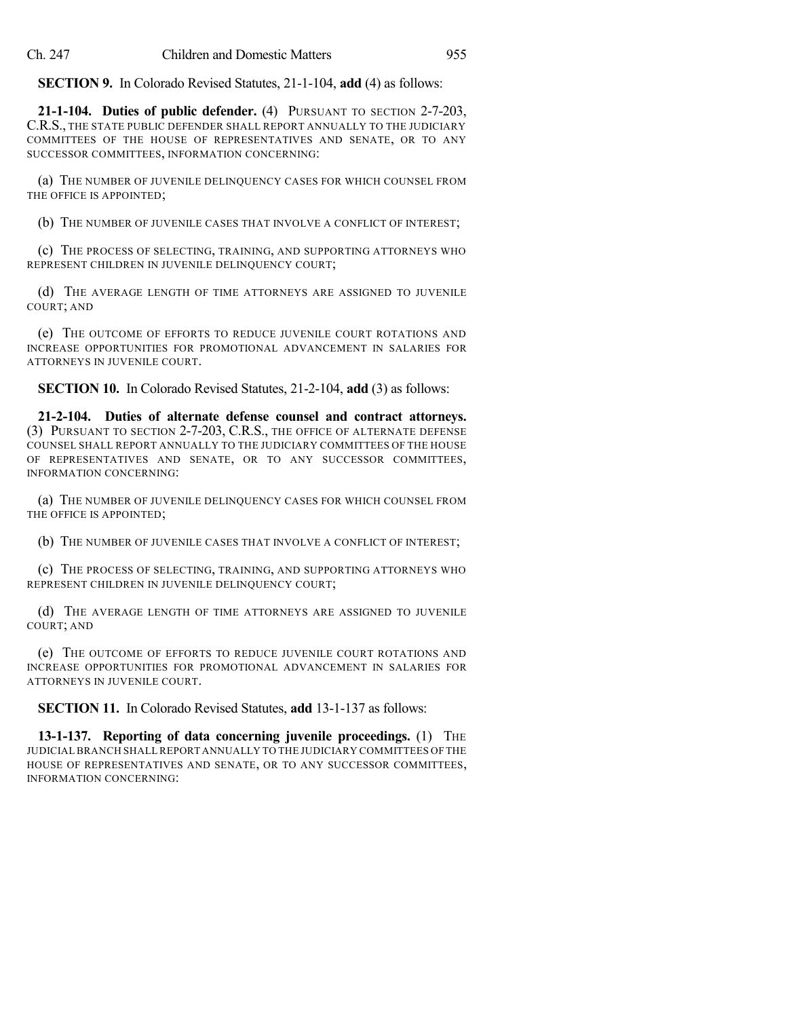**SECTION 9.** In Colorado Revised Statutes, 21-1-104, **add** (4) as follows:

**21-1-104. Duties of public defender.** (4) PURSUANT TO SECTION 2-7-203, C.R.S., THE STATE PUBLIC DEFENDER SHALL REPORT ANNUALLY TO THE JUDICIARY COMMITTEES OF THE HOUSE OF REPRESENTATIVES AND SENATE, OR TO ANY SUCCESSOR COMMITTEES, INFORMATION CONCERNING:

(a) THE NUMBER OF JUVENILE DELINQUENCY CASES FOR WHICH COUNSEL FROM THE OFFICE IS APPOINTED;

(b) THE NUMBER OF JUVENILE CASES THAT INVOLVE A CONFLICT OF INTEREST;

(c) THE PROCESS OF SELECTING, TRAINING, AND SUPPORTING ATTORNEYS WHO REPRESENT CHILDREN IN JUVENILE DELINQUENCY COURT;

(d) THE AVERAGE LENGTH OF TIME ATTORNEYS ARE ASSIGNED TO JUVENILE COURT; AND

(e) THE OUTCOME OF EFFORTS TO REDUCE JUVENILE COURT ROTATIONS AND INCREASE OPPORTUNITIES FOR PROMOTIONAL ADVANCEMENT IN SALARIES FOR ATTORNEYS IN JUVENILE COURT.

**SECTION 10.** In Colorado Revised Statutes, 21-2-104, **add** (3) as follows:

**21-2-104. Duties of alternate defense counsel and contract attorneys.** (3) PURSUANT TO SECTION 2-7-203, C.R.S., THE OFFICE OF ALTERNATE DEFENSE COUNSEL SHALL REPORT ANNUALLY TO THE JUDICIARY COMMITTEES OF THE HOUSE OF REPRESENTATIVES AND SENATE, OR TO ANY SUCCESSOR COMMITTEES, INFORMATION CONCERNING:

(a) THE NUMBER OF JUVENILE DELINQUENCY CASES FOR WHICH COUNSEL FROM THE OFFICE IS APPOINTED;

(b) THE NUMBER OF JUVENILE CASES THAT INVOLVE A CONFLICT OF INTEREST;

(c) THE PROCESS OF SELECTING, TRAINING, AND SUPPORTING ATTORNEYS WHO REPRESENT CHILDREN IN JUVENILE DELINQUENCY COURT;

(d) THE AVERAGE LENGTH OF TIME ATTORNEYS ARE ASSIGNED TO JUVENILE COURT; AND

(e) THE OUTCOME OF EFFORTS TO REDUCE JUVENILE COURT ROTATIONS AND INCREASE OPPORTUNITIES FOR PROMOTIONAL ADVANCEMENT IN SALARIES FOR ATTORNEYS IN JUVENILE COURT.

**SECTION 11.** In Colorado Revised Statutes, **add** 13-1-137 as follows:

**13-1-137. Reporting of data concerning juvenile proceedings.** (1) THE JUDICIALBRANCH SHALL REPORT ANNUALLY TO THE JUDICIARY COMMITTEES OF THE HOUSE OF REPRESENTATIVES AND SENATE, OR TO ANY SUCCESSOR COMMITTEES, INFORMATION CONCERNING: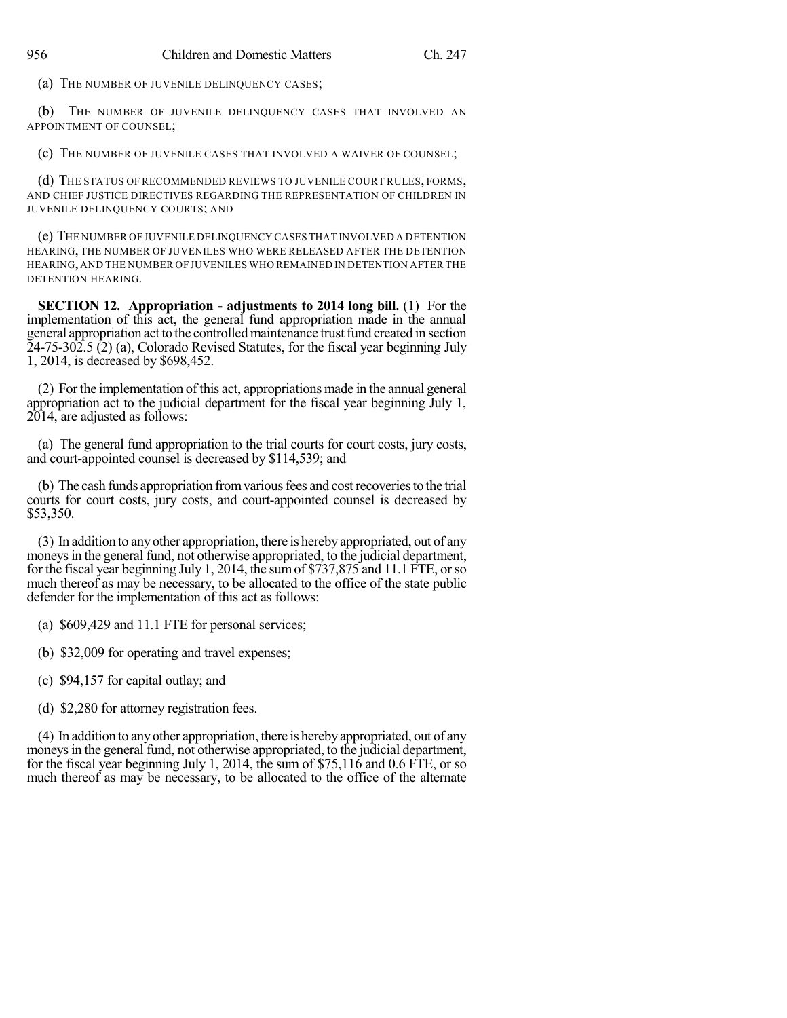(a) THE NUMBER OF JUVENILE DELINQUENCY CASES;

(b) THE NUMBER OF JUVENILE DELINQUENCY CASES THAT INVOLVED AN APPOINTMENT OF COUNSEL;

(c) THE NUMBER OF JUVENILE CASES THAT INVOLVED A WAIVER OF COUNSEL;

(d) THE STATUS OF RECOMMENDED REVIEWS TO JUVENILE COURT RULES, FORMS, AND CHIEF JUSTICE DIRECTIVES REGARDING THE REPRESENTATION OF CHILDREN IN JUVENILE DELINQUENCY COURTS; AND

(e) THE NUMBER OF JUVENILE DELINQUENCY CASES THAT INVOLVED A DETENTION HEARING, THE NUMBER OF JUVENILES WHO WERE RELEASED AFTER THE DETENTION HEARING, AND THE NUMBER OF JUVENILES WHO REMAINED IN DETENTION AFTER THE DETENTION HEARING.

**SECTION 12. Appropriation - adjustments to 2014 long bill.** (1) For the implementation of this act, the general fund appropriation made in the annual general appropriation act to the controlled maintenance trust fund created in section 24-75-302.5 (2) (a), Colorado Revised Statutes, for the fiscal year beginning July 1, 2014, is decreased by \$698,452.

(2) For the implementation of this act, appropriations made in the annual general appropriation act to the judicial department for the fiscal year beginning July 1, 2014, are adjusted as follows:

(a) The general fund appropriation to the trial courts for court costs, jury costs, and court-appointed counsel is decreased by \$114,539; and

(b) The cash funds appropriation from various fees and cost recoveries to the trial courts for court costs, jury costs, and court-appointed counsel is decreased by \$53,350.

(3) In addition to anyother appropriation, there is herebyappropriated, out of any moneys in the general fund, not otherwise appropriated, to the judicial department, for the fiscal year beginning July 1, 2014, the sumof \$737,875 and 11.1 FTE, orso much thereof as may be necessary, to be allocated to the office of the state public defender for the implementation of this act as follows:

(a) \$609,429 and 11.1 FTE for personal services;

(b) \$32,009 for operating and travel expenses;

(c) \$94,157 for capital outlay; and

(d) \$2,280 for attorney registration fees.

(4) In addition to anyother appropriation, there is herebyappropriated, out of any moneys in the general fund, not otherwise appropriated, to the judicial department, for the fiscal year beginning July 1, 2014, the sum of \$75,116 and 0.6 FTE, or so much thereof as may be necessary, to be allocated to the office of the alternate